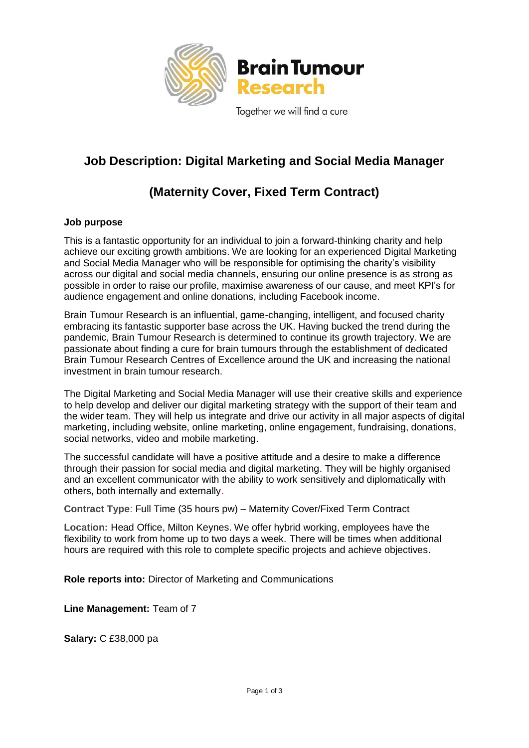

## **Job Description: Digital Marketing and Social Media Manager**

## **(Maternity Cover, Fixed Term Contract)**

## **Job purpose**

This is a fantastic opportunity for an individual to join a forward-thinking charity and help achieve our exciting growth ambitions. We are looking for an experienced Digital Marketing and Social Media Manager who will be responsible for optimising the charity's visibility across our digital and social media channels, ensuring our online presence is as strong as possible in order to raise our profile, maximise awareness of our cause, and meet KPI's for audience engagement and online donations, including Facebook income.

Brain Tumour Research is an influential, game-changing, intelligent, and focused charity embracing its fantastic supporter base across the UK. Having bucked the trend during the pandemic, Brain Tumour Research is determined to continue its growth trajectory. We are passionate about finding a cure for brain tumours through the establishment of dedicated Brain Tumour Research Centres of Excellence around the UK and increasing the national investment in brain tumour research.

The Digital Marketing and Social Media Manager will use their creative skills and experience to help develop and deliver our digital marketing strategy with the support of their team and the wider team. They will help us integrate and drive our activity in all major aspects of digital marketing, including website, online marketing, online engagement, fundraising, donations, social networks, video and mobile marketing.

The successful candidate will have a positive attitude and a desire to make a difference through their passion for social media and digital marketing. They will be highly organised and an excellent communicator with the ability to work sensitively and diplomatically with others, both internally and externally.

**Contract Type**: Full Time (35 hours pw) – Maternity Cover/Fixed Term Contract

**Location:** Head Office, Milton Keynes. We offer hybrid working, employees have the flexibility to work from home up to two days a week. There will be times when additional hours are required with this role to complete specific projects and achieve objectives.

**Role reports into:** Director of Marketing and Communications

**Line Management:** Team of 7

**Salary:** C £38,000 pa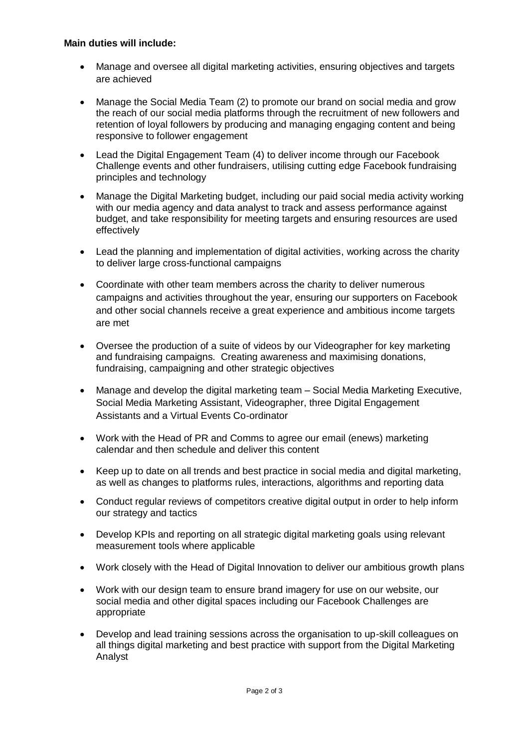## **Main duties will include:**

- Manage and oversee all digital marketing activities, ensuring objectives and targets are achieved
- Manage the Social Media Team (2) to promote our brand on social media and grow the reach of our social media platforms through the recruitment of new followers and retention of loyal followers by producing and managing engaging content and being responsive to follower engagement
- Lead the Digital Engagement Team (4) to deliver income through our Facebook Challenge events and other fundraisers, utilising cutting edge Facebook fundraising principles and technology
- Manage the Digital Marketing budget, including our paid social media activity working with our media agency and data analyst to track and assess performance against budget, and take responsibility for meeting targets and ensuring resources are used effectively
- Lead the planning and implementation of digital activities, working across the charity to deliver large cross-functional campaigns
- Coordinate with other team members across the charity to deliver numerous campaigns and activities throughout the year, ensuring our supporters on Facebook and other social channels receive a great experience and ambitious income targets are met
- Oversee the production of a suite of videos by our Videographer for key marketing and fundraising campaigns. Creating awareness and maximising donations, fundraising, campaigning and other strategic objectives
- Manage and develop the digital marketing team Social Media Marketing Executive, Social Media Marketing Assistant, Videographer, three Digital Engagement Assistants and a Virtual Events Co-ordinator
- Work with the Head of PR and Comms to agree our email (enews) marketing calendar and then schedule and deliver this content
- Keep up to date on all trends and best practice in social media and digital marketing, as well as changes to platforms rules, interactions, algorithms and reporting data
- Conduct regular reviews of competitors creative digital output in order to help inform our strategy and tactics
- Develop KPIs and reporting on all strategic digital marketing goals using relevant measurement tools where applicable
- Work closely with the Head of Digital Innovation to deliver our ambitious growth plans
- Work with our design team to ensure brand imagery for use on our website, our social media and other digital spaces including our Facebook Challenges are appropriate
- Develop and lead training sessions across the organisation to up-skill colleagues on all things digital marketing and best practice with support from the Digital Marketing Analyst